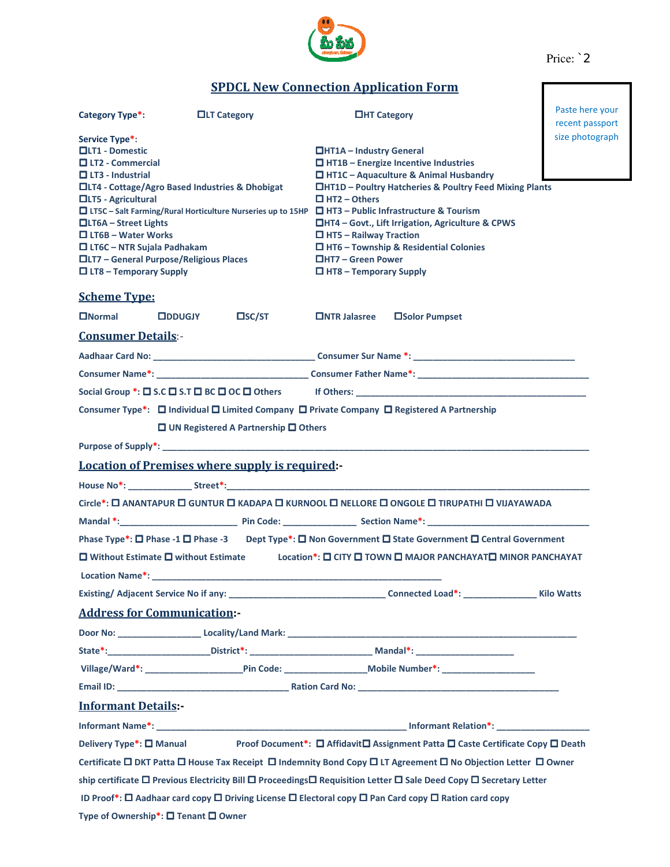

Price: `2

## **SPDCL New Connection Application Form**

| Category Type*:                                                                                                                                                                                                                                                                                                                                                                                                                                                          | <b>OLT Category</b>                               | <b>OHT Category</b>                                                                                                                                                                                                                                                                                                                                                                                                        | Paste here your<br>recent passport |  |  |  |  |  |
|--------------------------------------------------------------------------------------------------------------------------------------------------------------------------------------------------------------------------------------------------------------------------------------------------------------------------------------------------------------------------------------------------------------------------------------------------------------------------|---------------------------------------------------|----------------------------------------------------------------------------------------------------------------------------------------------------------------------------------------------------------------------------------------------------------------------------------------------------------------------------------------------------------------------------------------------------------------------------|------------------------------------|--|--|--|--|--|
| Service Type*:<br><b>QLT1 - Domestic</b><br>$\Box$ LT2 - Commercial<br>$\Box$ LT3 - Industrial<br>□LT4 - Cottage/Agro Based Industries & Dhobigat<br>□LT5 - Agricultural<br>$\Box$ LT5C – Salt Farming/Rural Horticulture Nurseries up to 15HP $\Box$ HT3 – Public Infrastructure & Tourism<br>$\Box$ LT6A – Street Lights<br>$\Box$ LT6B – Water Works<br>$\Box$ LT6C - NTR Sujala Padhakam<br>□LT7 - General Purpose/Religious Places<br>$\Box$ LT8 – Temporary Supply |                                                   | size photograph<br>$\Box$ HT1A – Industry General<br>$\Box$ HT1B – Energize Incentive Industries<br>$\Box$ HT1C - Aquaculture & Animal Husbandry<br>□HT1D – Poultry Hatcheries & Poultry Feed Mixing Plants<br>$\Box$ HT2 – Others<br>□HT4 - Govt., Lift Irrigation, Agriculture & CPWS<br>$\Box$ HT5 – Railway Traction<br>□ HT6 - Township & Residential Colonies<br>□HT7 – Green Power<br>$\Box$ HT8 – Temporary Supply |                                    |  |  |  |  |  |
| <b>Scheme Type:</b>                                                                                                                                                                                                                                                                                                                                                                                                                                                      |                                                   |                                                                                                                                                                                                                                                                                                                                                                                                                            |                                    |  |  |  |  |  |
| $\Box$ Normal                                                                                                                                                                                                                                                                                                                                                                                                                                                            | $\square$ SC/ST<br><b>ODDUGJY</b>                 | $\Box$ NTR Jalasree<br>□Solor Pumpset                                                                                                                                                                                                                                                                                                                                                                                      |                                    |  |  |  |  |  |
| <b>Consumer Details:-</b>                                                                                                                                                                                                                                                                                                                                                                                                                                                |                                                   |                                                                                                                                                                                                                                                                                                                                                                                                                            |                                    |  |  |  |  |  |
|                                                                                                                                                                                                                                                                                                                                                                                                                                                                          |                                                   |                                                                                                                                                                                                                                                                                                                                                                                                                            |                                    |  |  |  |  |  |
|                                                                                                                                                                                                                                                                                                                                                                                                                                                                          |                                                   |                                                                                                                                                                                                                                                                                                                                                                                                                            |                                    |  |  |  |  |  |
| Social Group *: $\square$ S.C $\square$ S.T $\square$ BC $\square$ OC $\square$ Others if Others:                                                                                                                                                                                                                                                                                                                                                                        |                                                   |                                                                                                                                                                                                                                                                                                                                                                                                                            |                                    |  |  |  |  |  |
| Consumer Type*: □ Individual □ Limited Company □ Private Company □ Registered A Partnership                                                                                                                                                                                                                                                                                                                                                                              |                                                   |                                                                                                                                                                                                                                                                                                                                                                                                                            |                                    |  |  |  |  |  |
| $\Box$ UN Registered A Partnership $\Box$ Others                                                                                                                                                                                                                                                                                                                                                                                                                         |                                                   |                                                                                                                                                                                                                                                                                                                                                                                                                            |                                    |  |  |  |  |  |
|                                                                                                                                                                                                                                                                                                                                                                                                                                                                          |                                                   |                                                                                                                                                                                                                                                                                                                                                                                                                            |                                    |  |  |  |  |  |
| <b>Location of Premises where supply is required:-</b>                                                                                                                                                                                                                                                                                                                                                                                                                   |                                                   |                                                                                                                                                                                                                                                                                                                                                                                                                            |                                    |  |  |  |  |  |
|                                                                                                                                                                                                                                                                                                                                                                                                                                                                          |                                                   |                                                                                                                                                                                                                                                                                                                                                                                                                            |                                    |  |  |  |  |  |
| Circle*: [I ANANTAPUR I] GUNTUR I KADAPA I] KURNOOL I NELLORE I] ONGOLE II TIRUPATHI I] VIJAYAWADA                                                                                                                                                                                                                                                                                                                                                                       |                                                   |                                                                                                                                                                                                                                                                                                                                                                                                                            |                                    |  |  |  |  |  |
|                                                                                                                                                                                                                                                                                                                                                                                                                                                                          |                                                   |                                                                                                                                                                                                                                                                                                                                                                                                                            |                                    |  |  |  |  |  |
| Phase Type*: □ Phase -1 □ Phase -3 Dept Type*: □ Non Government □ State Government □ Central Government                                                                                                                                                                                                                                                                                                                                                                  |                                                   |                                                                                                                                                                                                                                                                                                                                                                                                                            |                                    |  |  |  |  |  |
| Location*: [ CITY   TOWN   MAJOR PANCHAYAT   MINOR PANCHAYAT<br>$\Box$ Without Estimate $\Box$ without Estimate<br><b>Location Name*:</b> the contract of the contract of the contract of the contract of the contract of the contract of the contract of the contract of the contract of the contract of the contract of the contract of the contract                                                                                                                   |                                                   |                                                                                                                                                                                                                                                                                                                                                                                                                            |                                    |  |  |  |  |  |
|                                                                                                                                                                                                                                                                                                                                                                                                                                                                          | Existing/ Adjacent Service No if any: ___________ |                                                                                                                                                                                                                                                                                                                                                                                                                            |                                    |  |  |  |  |  |
| <b>Address for Communication:-</b>                                                                                                                                                                                                                                                                                                                                                                                                                                       |                                                   |                                                                                                                                                                                                                                                                                                                                                                                                                            |                                    |  |  |  |  |  |
|                                                                                                                                                                                                                                                                                                                                                                                                                                                                          |                                                   |                                                                                                                                                                                                                                                                                                                                                                                                                            |                                    |  |  |  |  |  |
|                                                                                                                                                                                                                                                                                                                                                                                                                                                                          |                                                   |                                                                                                                                                                                                                                                                                                                                                                                                                            |                                    |  |  |  |  |  |
|                                                                                                                                                                                                                                                                                                                                                                                                                                                                          |                                                   |                                                                                                                                                                                                                                                                                                                                                                                                                            |                                    |  |  |  |  |  |
|                                                                                                                                                                                                                                                                                                                                                                                                                                                                          |                                                   |                                                                                                                                                                                                                                                                                                                                                                                                                            |                                    |  |  |  |  |  |
| <b>Informant Details:-</b>                                                                                                                                                                                                                                                                                                                                                                                                                                               |                                                   |                                                                                                                                                                                                                                                                                                                                                                                                                            |                                    |  |  |  |  |  |
|                                                                                                                                                                                                                                                                                                                                                                                                                                                                          |                                                   |                                                                                                                                                                                                                                                                                                                                                                                                                            |                                    |  |  |  |  |  |
| Delivery Type*: □ Manual Proof Document*: □ Affidavit□ Assignment Patta □ Caste Certificate Copy □ Death                                                                                                                                                                                                                                                                                                                                                                 |                                                   |                                                                                                                                                                                                                                                                                                                                                                                                                            |                                    |  |  |  |  |  |
| Certificate □ DKT Patta □ House Tax Receipt □ Indemnity Bond Copy □ LT Agreement □ No Objection Letter □ Owner                                                                                                                                                                                                                                                                                                                                                           |                                                   |                                                                                                                                                                                                                                                                                                                                                                                                                            |                                    |  |  |  |  |  |
| ship certificate □ Previous Electricity Bill □ Proceedings□ Requisition Letter □ Sale Deed Copy □ Secretary Letter                                                                                                                                                                                                                                                                                                                                                       |                                                   |                                                                                                                                                                                                                                                                                                                                                                                                                            |                                    |  |  |  |  |  |
| ID Proof*: $\Box$ Aadhaar card copy $\Box$ Driving License $\Box$ Electoral copy $\Box$ Pan Card copy $\Box$ Ration card copy                                                                                                                                                                                                                                                                                                                                            |                                                   |                                                                                                                                                                                                                                                                                                                                                                                                                            |                                    |  |  |  |  |  |
| Type of Ownership*: □ Tenant □ Owner                                                                                                                                                                                                                                                                                                                                                                                                                                     |                                                   |                                                                                                                                                                                                                                                                                                                                                                                                                            |                                    |  |  |  |  |  |